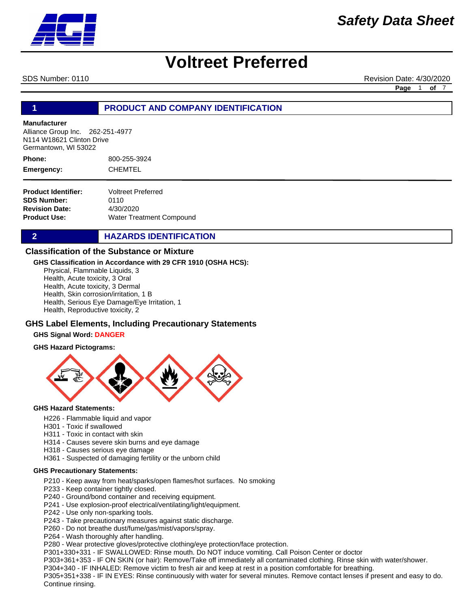

SDS Number: 0110 Revision Date: 4/30/2020

**Page** 1 **of** 7

#### **1 PRODUCT AND COMPANY IDENTIFICATION**

#### **Manufacturer**

Alliance Group Inc. 262-251-4977 N114 W18621 Clinton Drive Germantown, WI 53022

800-255-3924 CHEMTEL **Phone: Emergency:**

| <b>Voltreet Preferred</b>       |
|---------------------------------|
| 0110                            |
| 4/30/2020                       |
| <b>Water Treatment Compound</b> |
|                                 |

#### **2 HAZARDS IDENTIFICATION**

#### **Classification of the Substance or Mixture**

#### **GHS Classification in Accordance with 29 CFR 1910 (OSHA HCS):**

Physical, Flammable Liquids, 3

Health, Acute toxicity, 3 Oral

Health, Acute toxicity, 3 Dermal

Health, Skin corrosion/irritation, 1 B

Health, Serious Eye Damage/Eye Irritation, 1

Health, Reproductive toxicity, 2

#### **GHS Label Elements, Including Precautionary Statements**

#### **GHS Signal Word: DANGER**





#### **GHS Hazard Statements:**

- H226 Flammable liquid and vapor
- H301 Toxic if swallowed
- H311 Toxic in contact with skin
- H314 Causes severe skin burns and eye damage
- H318 Causes serious eye damage
- H361 Suspected of damaging fertility or the unborn child

#### **GHS Precautionary Statements:**

- P210 Keep away from heat/sparks/open flames/hot surfaces. No smoking
- P233 Keep container tightly closed.
- P240 Ground/bond container and receiving equipment.
- P241 Use explosion-proof electrical/ventilating/light/equipment.
- P242 Use only non-sparking tools.
- P243 Take precautionary measures against static discharge.
- P260 Do not breathe dust/fume/gas/mist/vapors/spray.
- P264 Wash thoroughly after handling.

P280 - Wear protective gloves/protective clothing/eye protection/face protection.

P301+330+331 - IF SWALLOWED: Rinse mouth. Do NOT induce vomiting. Call Poison Center or doctor

P303+361+353 - IF ON SKIN (or hair): Remove/Take off immediately all contaminated clothing. Rinse skin with water/shower.

P304+340 - IF INHALED: Remove victim to fresh air and keep at rest in a position comfortable for breathing.

P305+351+338 - IF IN EYES: Rinse continuously with water for several minutes. Remove contact lenses if present and easy to do. Continue rinsing.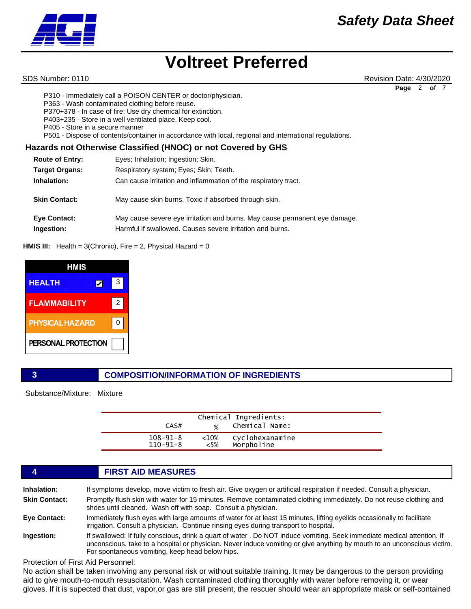

SDS Number: 0110 Revision Date: 4/30/2020 **Page** 2 **of** 7

P310 - Immediately call a POISON CENTER or doctor/physician.

P363 - Wash contaminated clothing before reuse.

P370+378 - In case of fire: Use dry chemical for extinction.

P403+235 - Store in a well ventilated place. Keep cool.

P405 - Store in a secure manner

P501 - Dispose of contents/container in accordance with local, regional and international regulations.

#### **Hazards not Otherwise Classified (HNOC) or not Covered by GHS**

| <b>Route of Entry:</b>            | Eyes; Inhalation; Ingestion; Skin.                                                                                                      |
|-----------------------------------|-----------------------------------------------------------------------------------------------------------------------------------------|
| <b>Target Organs:</b>             | Respiratory system; Eyes; Skin; Teeth.                                                                                                  |
| Inhalation:                       | Can cause irritation and inflammation of the respiratory tract.                                                                         |
| <b>Skin Contact:</b>              | May cause skin burns. Toxic if absorbed through skin.                                                                                   |
| <b>Eye Contact:</b><br>Ingestion: | May cause severe eye irritation and burns. May cause permanent eye damage.<br>Harmful if swallowed. Causes severe irritation and burns. |

#### **HMIS III:** Health = 3(Chronic), Fire = 2, Physical Hazard = 0

| HMIS                   |   |
|------------------------|---|
| <b>HEALTH</b><br>Ι✔    | 3 |
| <b>FLAMMABILITY</b>    | 2 |
| <b>PHYSICAL HAZARD</b> |   |
| PERSONAL PROTECTION    |   |

#### **3 COMPOSITION/INFORMATION OF INGREDIENTS**

Substance/Mixture: Mixture

| CAS#           | $\frac{1}{2}$ | Chemical Ingredients:<br>Chemical Name: |  |
|----------------|---------------|-----------------------------------------|--|
| $108 - 91 - 8$ | $<$ 10%       | Cyclohexanamine                         |  |
| $110 - 91 - 8$ | $<$ 5%        | Morpholine                              |  |

### **4 FIRST AID MEASURES Inhalation:** If symptoms develop, move victim to fresh air. Give oxygen or artificial respiration if needed. Consult a physician. **Skin Contact:** Promptly flush skin with water for 15 minutes. Remove contaminated clothing immediately. Do not reuse clothing and shoes until cleaned. Wash off with soap. Consult a physician. **Eye Contact:** Immediately flush eyes with large amounts of water for at least 15 minutes, lifting eyelids occasionally to facilitate irrigation. Consult a physician. Continue rinsing eyes during transport to hospital. **Ingestion:** If swallowed: If fully conscious, drink a quart of water . Do NOT induce vomiting. Seek immediate medical attention. If unconscious, take to a hospital or physician. Never induce vomiting or give anything by mouth to an unconscious victim. For spontaneous vomiting, keep head below hips.

Protection of First Aid Personnel:

No action shall be taken involving any personal risk or without suitable training. It may be dangerous to the person providing aid to give mouth-to-mouth resuscitation. Wash contaminated clothing thoroughly with water before removing it, or wear gloves. If it is supected that dust, vapor,or gas are still present, the rescuer should wear an appropriate mask or self-contained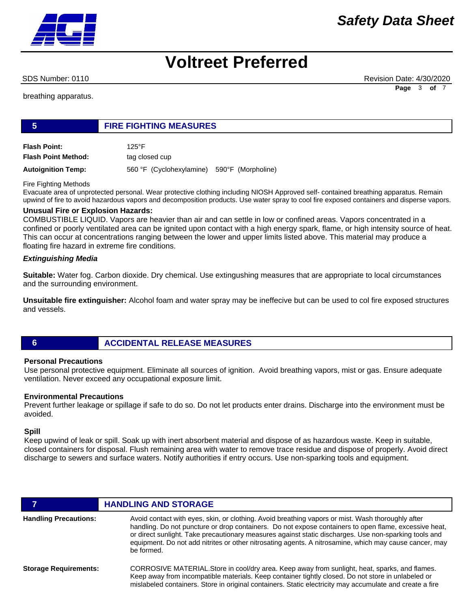

## *Safety Data Sheet*

## **Voltreet Preferred**

SDS Number: 0110 Revision Date: 4/30/2020 **Page** 3 **of** 7

breathing apparatus.

#### **5 FIRE FIGHTING MEASURES**

**Flash Point:** 125°F **Flash Point Method:** tag closed cup

**Autoignition Temp:** 560 °F (Cyclohexylamine) 590°F (Morpholine)

Fire Fighting Methods

Evacuate area of unprotected personal. Wear protective clothing including NIOSH Approved self- contained breathing apparatus. Remain upwind of fire to avoid hazardous vapors and decomposition products. Use water spray to cool fire exposed containers and disperse vapors.

#### **Unusual Fire or Explosion Hazards:**

COMBUSTIBLE LIQUID. Vapors are heavier than air and can settle in low or confined areas. Vapors concentrated in a confined or poorly ventilated area can be ignited upon contact with a high energy spark, flame, or high intensity source of heat. This can occur at concentrations ranging between the lower and upper limits listed above. This material may produce a floating fire hazard in extreme fire conditions.

#### *Extinguishing Media*

**Suitable:** Water fog. Carbon dioxide. Dry chemical. Use extingushing measures that are appropriate to local circumstances and the surrounding environment.

**Unsuitable fire extinguisher:** Alcohol foam and water spray may be ineffecive but can be used to col fire exposed structures and vessels.

#### **6 ACCIDENTAL RELEASE MEASURES**

#### **Personal Precautions**

Use personal protective equipment. Eliminate all sources of ignition. Avoid breathing vapors, mist or gas. Ensure adequate ventilation. Never exceed any occupational exposure limit.

#### **Environmental Precautions**

Prevent further leakage or spillage if safe to do so. Do not let products enter drains. Discharge into the environment must be avoided.

#### **Spill**

Keep upwind of leak or spill. Soak up with inert absorbent material and dispose of as hazardous waste. Keep in suitable, closed containers for disposal. Flush remaining area with water to remove trace residue and dispose of properly. Avoid direct discharge to sewers and surface waters. Notify authorities if entry occurs. Use non-sparking tools and equipment.

|                              | <b>HANDLING AND STORAGE</b>                                                                                                                                                                                                                                                                                                                                                                                                                 |
|------------------------------|---------------------------------------------------------------------------------------------------------------------------------------------------------------------------------------------------------------------------------------------------------------------------------------------------------------------------------------------------------------------------------------------------------------------------------------------|
| <b>Handling Precautions:</b> | Avoid contact with eyes, skin, or clothing. Avoid breathing vapors or mist. Wash thoroughly after<br>handling. Do not puncture or drop containers. Do not expose containers to open flame, excessive heat,<br>or direct sunlight. Take precautionary measures against static discharges. Use non-sparking tools and<br>equipment. Do not add nitrites or other nitrosating agents. A nitrosamine, which may cause cancer, may<br>be formed. |
| <b>Storage Requirements:</b> | CORROSIVE MATERIAL. Store in cool/dry area. Keep away from sunlight, heat, sparks, and flames.<br>Keep away from incompatible materials. Keep container tightly closed. Do not store in unlabeled or<br>mislabeled containers. Store in original containers. Static electricity may accumulate and create a fire                                                                                                                            |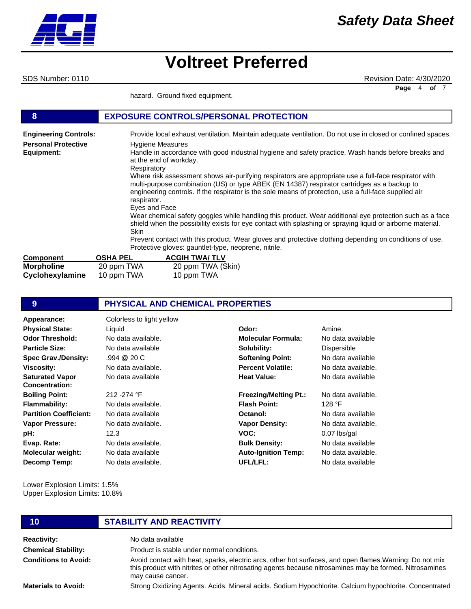SDS Number: 0110 Revision Date: 4/30/2020 **Page** 4 **of** 7

hazard. Ground fixed equipment.

| 8                            | <b>EXPOSURE CONTROLS/PERSONAL PROTECTION</b>                                                                                                                                                                                                                                                                                 |
|------------------------------|------------------------------------------------------------------------------------------------------------------------------------------------------------------------------------------------------------------------------------------------------------------------------------------------------------------------------|
| <b>Engineering Controls:</b> | Provide local exhaust ventilation. Maintain adequate ventilation. Do not use in closed or confined spaces.                                                                                                                                                                                                                   |
| <b>Personal Protective</b>   | <b>Hygiene Measures</b>                                                                                                                                                                                                                                                                                                      |
| Equipment:                   | Handle in accordance with good industrial hygiene and safety practice. Wash hands before breaks and<br>at the end of workday.<br>Respiratory                                                                                                                                                                                 |
|                              | Where risk assessment shows air-purifying respirators are appropriate use a full-face respirator with<br>multi-purpose combination (US) or type ABEK (EN 14387) respirator cartridges as a backup to<br>engineering controls. If the respirator is the sole means of protection, use a full-face supplied air<br>respirator. |
|                              | Eyes and Face                                                                                                                                                                                                                                                                                                                |
|                              | Wear chemical safety goggles while handling this product. Wear additional eye protection such as a face<br>shield when the possibility exists for eye contact with splashing or spraying liquid or airborne material.<br><b>Skin</b>                                                                                         |
|                              | Prevent contact with this product. Wear gloves and protective clothing depending on conditions of use.<br>Protective gloves: gauntlet-type, neoprene, nitrile.                                                                                                                                                               |
| <b>Component</b>             | <b>ACGIH TWA/TLV</b><br>OSHA PEL                                                                                                                                                                                                                                                                                             |
| <b>Morpholine</b>            | 20 ppm TWA<br>20 ppm TWA (Skin)                                                                                                                                                                                                                                                                                              |

| <b>UUIII</b> UUIGIIL | <b>UUILLIA</b> | AUUILLIVALLI      |
|----------------------|----------------|-------------------|
| <b>Morpholine</b>    | 20 ppm TWA     | 20 ppm TWA (Skin) |
| Cyclohexylamine      | 10 ppm TWA     | 10 ppm TWA        |
|                      |                |                   |

| 9                                        | <b>PHYSICAL AND CHEMICAL PROPERTIES</b> |                              |                    |
|------------------------------------------|-----------------------------------------|------------------------------|--------------------|
| Appearance:                              | Colorless to light yellow               |                              |                    |
| <b>Physical State:</b>                   | Liquid                                  | Odor:                        | Amine.             |
| <b>Odor Threshold:</b>                   | No data available.                      | <b>Molecular Formula:</b>    | No data available  |
| <b>Particle Size:</b>                    | No data available                       | Solubility:                  | Dispersible        |
| <b>Spec Grav./Density:</b>               | .994@20C                                | <b>Softening Point:</b>      | No data available  |
| <b>Viscosity:</b>                        | No data available.                      | <b>Percent Volatile:</b>     | No data available. |
| <b>Saturated Vapor</b><br>Concentration: | No data available                       | <b>Heat Value:</b>           | No data available  |
| <b>Boiling Point:</b>                    | 212 - 274 °F                            | <b>Freezing/Melting Pt.:</b> | No data available. |
| <b>Flammability:</b>                     | No data available.                      | <b>Flash Point:</b>          | 128 °F             |
| <b>Partition Coefficient:</b>            | No data available                       | Octanol:                     | No data available  |
| Vapor Pressure:                          | No data available.                      | <b>Vapor Density:</b>        | No data available. |
| pH:                                      | 12.3                                    | VOC:                         | $0.07$ lbs/gal     |
| Evap. Rate:                              | No data available.                      | <b>Bulk Density:</b>         | No data available  |
| <b>Molecular weight:</b>                 | No data available                       | <b>Auto-Ignition Temp:</b>   | No data available. |
| Decomp Temp:                             | No data available.                      | UFL/LFL:                     | No data available  |

Lower Explosion Limits: 1.5% Upper Explosion Limits: 10.8%

## **10 STABILITY AND REACTIVITY**

**Reactivity:** No data available **Chemical Stability: Conditions to Avoid:** Product is stable under normal conditions. Avoid contact with heat, sparks, electric arcs, other hot surfaces, and open flames.Warning: Do not mix this product with nitrites or other nitrosating agents because nitrosamines may be formed. Nitrosamines may cause cancer.

**Materials to Avoid:**

Strong Oxidizing Agents. Acids. Mineral acids. Sodium Hypochlorite. Calcium hypochlorite. Concentrated

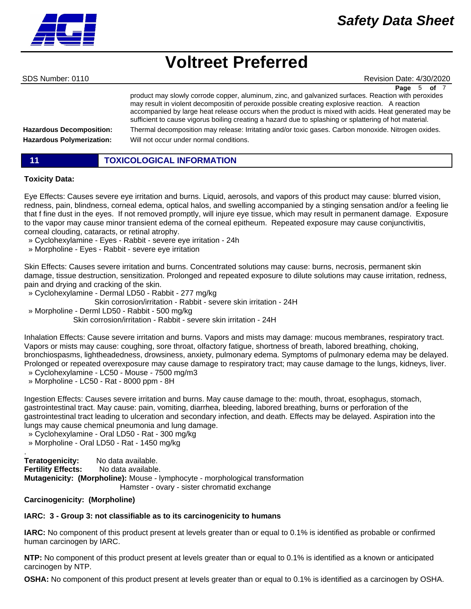SDS Number: 0110 Revision Date: 4/30/2020 **Page** 5 **of** 7

**Hazardous Decomposition: Hazardous Polymerization:** product may slowly corrode copper, aluminum, zinc, and galvanized surfaces. Reaction with peroxides may result in violent decompositin of peroxide possible creating explosive reaction. A reaction accompanied by large heat release occurs when the product is mixed with acids. Heat generated may be sufficient to cause vigorus boiling creating a hazard due to splashing or splattering of hot material. Thermal decomposition may release: Irritating and/or toxic gases. Carbon monoxide. Nitrogen oxides. Will not occur under normal conditions.

| <b>TOXICOLOGICAL INFORMATION</b> |
|----------------------------------|
|                                  |

#### **Toxicity Data:**

Eye Effects: Causes severe eye irritation and burns. Liquid, aerosols, and vapors of this product may cause: blurred vision, redness, pain, blindness, corneal edema, optical halos, and swelling accompanied by a stinging sensation and/or a feeling lie that f fine dust in the eyes. If not removed promptly, will injure eye tissue, which may result in permanent damage. Exposure to the vapor may cause minor transient edema of the corneal epitheum. Repeated exposure may cause conjunctivitis, corneal clouding, cataracts, or retinal atrophy.

- » Cyclohexylamine Eyes Rabbit severe eye irritation 24h
- » Morpholine Eyes Rabbit severe eye irritation

Skin Effects: Causes severe irritation and burns. Concentrated solutions may cause: burns, necrosis, permanent skin damage, tissue destruction, sensitization. Prolonged and repeated exposure to dilute solutions may cause irritation, redness, pain and drying and cracking of the skin.

» Cyclohexylamine - Dermal LD50 - Rabbit - 277 mg/kg

 Skin corrosion/irritation - Rabbit - severe skin irritation - 24H » Morpholine - Derml LD50 - Rabbit - 500 mg/kg

Skin corrosion/irritation - Rabbit - severe skin irritation - 24H

Inhalation Effects: Cause severe irritation and burns. Vapors and mists may damage: mucous membranes, respiratory tract. Vapors or mists may cause: coughing, sore throat, olfactory fatigue, shortness of breath, labored breathing, choking, bronchiospasms, lightheadedness, drowsiness, anxiety, pulmonary edema. Symptoms of pulmonary edema may be delayed. Prolonged or repeated overexposure may cause damage to respiratory tract; may cause damage to the lungs, kidneys, liver.

- » Cyclohexylamine LC50 Mouse 7500 mg/m3
- » Morpholine LC50 Rat 8000 ppm 8H

Ingestion Effects: Causes severe irritation and burns. May cause damage to the: mouth, throat, esophagus, stomach, gastrointestinal tract. May cause: pain, vomiting, diarrhea, bleeding, labored breathing, burns or perforation of the gastrointestinal tract leading to ulceration and secondary infection, and death. Effects may be delayed. Aspiration into the lungs may cause chemical pneumonia and lung damage.

» Cyclohexylamine - Oral LD50 - Rat - 300 mg/kg

» Morpholine - Oral LD50 - Rat - 1450 mg/kg

. **Teratogenicity:** No data available. **Fertility Effects:** No data available. **Mutagenicity: (Morpholine):** Mouse - lymphocyte - morphological transformation Hamster - ovary - sister chromatid exchange

#### **Carcinogenicity: (Morpholine)**

#### **IARC: 3 - Group 3: not classifiable as to its carcinogenicity to humans**

**IARC:** No component of this product present at levels greater than or equal to 0.1% is identified as probable or confirmed human carcinogen by IARC.

**NTP:** No component of this product present at levels greater than or equal to 0.1% is identified as a known or anticipated carcinogen by NTP.

**OSHA:** No component of this product present at levels greater than or equal to 0.1% is identified as a carcinogen by OSHA.

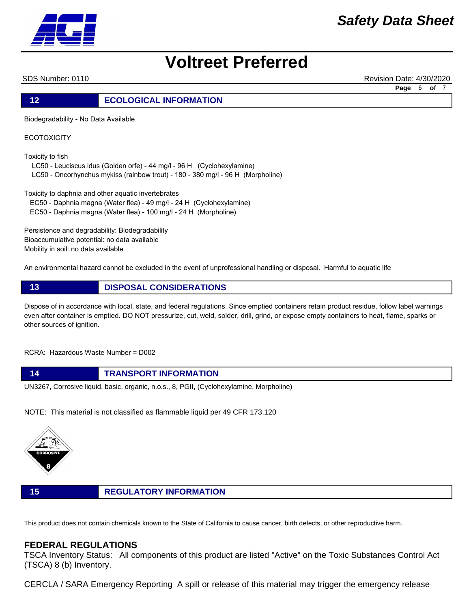

SDS Number: 0110 Revision Date: 4/30/2020

**Page** 6 **of** 7

**12 ECOLOGICAL INFORMATION** 

Biodegradability - No Data Available

**ECOTOXICITY** 

Toxicity to fish

LC50 - Leuciscus idus (Golden orfe) - 44 mg/l - 96 H (Cyclohexylamine)

LC50 - Oncorhynchus mykiss (rainbow trout) - 180 - 380 mg/l - 96 H (Morpholine)

Toxicity to daphnia and other aquatic invertebrates

EC50 - Daphnia magna (Water flea) - 49 mg/l - 24 H (Cyclohexylamine)

EC50 - Daphnia magna (Water flea) - 100 mg/l - 24 H (Morpholine)

Persistence and degradability: Biodegradability Bioaccumulative potential: no data available Mobility in soil: no data available

An environmental hazard cannot be excluded in the event of unprofessional handling or disposal. Harmful to aquatic life

**13 DISPOSAL CONSIDERATIONS**

Dispose of in accordance with local, state, and federal regulations. Since emptied containers retain product residue, follow label warnings even after container is emptied. DO NOT pressurize, cut, weld, solder, drill, grind, or expose empty containers to heat, flame, sparks or other sources of ignition.

RCRA: Hazardous Waste Number = D002

**14 TRANSPORT INFORMATION** UN3267, Corrosive liquid, basic, organic, n.o.s., 8, PGII, (Cyclohexylamine, Morpholine)

NOTE: This material is not classified as flammable liquid per 49 CFR 173.120



**15 REGULATORY INFORMATION**

This product does not contain chemicals known to the State of California to cause cancer, birth defects, or other reproductive harm.

#### **FEDERAL REGULATIONS**

TSCA Inventory Status: All components of this product are listed "Active" on the Toxic Substances Control Act (TSCA) 8 (b) Inventory.

CERCLA / SARA Emergency Reporting A spill or release of this material may trigger the emergency release